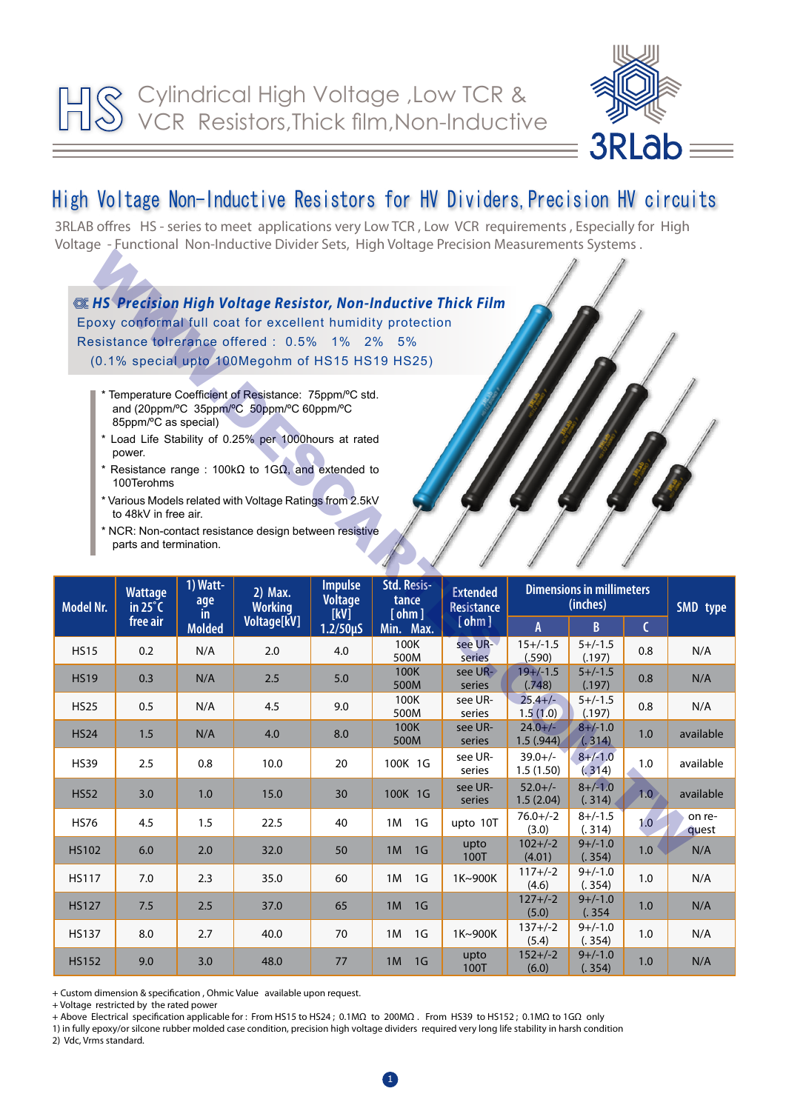

## High Voltage Non-Inductive Resistors for HV Dividers, Precision HV circuits

3RLAB offres HS - series to meet applications very Low TCR , Low VCR requirements , Especially for High Voltage - Functional Non-Inductive Divider Sets, High Voltage Precision Measurements Systems .



| Model Nr.    | <b>Wattage</b><br>in $25^{\circ}$ C<br>free air | 1) Watt-<br>age<br>in.<br><b>Molded</b> | 2) Max.<br><b>Working</b><br>Voltage[kV] | <b>Impulse</b><br><b>Voltage</b><br>[kV]<br>$1.2/50 \mu S$ | Std. Resis-<br>tance<br>[ohm]<br>Min. Max. | <b>Extended</b><br><b>Resistance</b><br>$[$ ohm $]$ | <b>Dimensions in millimeters</b><br>(inches) |                        |              | SMD type        |
|--------------|-------------------------------------------------|-----------------------------------------|------------------------------------------|------------------------------------------------------------|--------------------------------------------|-----------------------------------------------------|----------------------------------------------|------------------------|--------------|-----------------|
|              |                                                 |                                         |                                          |                                                            |                                            |                                                     | A                                            | $\mathsf{B}$           | $\mathsf{C}$ |                 |
| <b>HS15</b>  | 0.2                                             | N/A                                     | 2.0                                      | 4.0                                                        | 100K<br>500M                               | see UR-<br>series                                   | $15+/-1.5$<br>(.590)                         | $5+/-1.5$<br>(.197)    | 0.8          | N/A             |
| <b>HS19</b>  | 0.3                                             | N/A                                     | 2.5                                      | 5.0                                                        | <b>100K</b><br>500M                        | see UR-<br>series                                   | $19+/-1.5$<br>(.748)                         | $5+/-1.5$<br>(.197)    | 0.8          | N/A             |
| <b>HS25</b>  | 0.5                                             | N/A                                     | 4.5                                      | 9.0                                                        | 100K<br>500M                               | see UR-<br>series                                   | $25.4 +/-$<br>1.5(1.0)                       | $5+/-1.5$<br>(.197)    | 0.8          | N/A             |
| <b>HS24</b>  | 1.5                                             | N/A                                     | 4.0                                      | 8.0                                                        | 100K<br>500M                               | see UR-<br>series                                   | $24.0 +/-$<br>1.5(.944)                      | $8+/-1.0$<br>(0.314)   | 1.0          | available       |
| <b>HS39</b>  | 2.5                                             | 0.8                                     | 10.0                                     | 20                                                         | 100K 1G                                    | see UR-<br>series                                   | $39.0+/-$<br>1.5(1.50)                       | $8 + (-1.0)$<br>(.314) | 1.0          | available       |
| <b>HS52</b>  | 3.0                                             | 1.0                                     | 15.0                                     | 30                                                         | 100K 1G                                    | see UR-<br>series                                   | $52.0+/-$<br>1.5(2.04)                       | $8 + (-1.0)$<br>(.314) | 1.0)         | available       |
| <b>HS76</b>  | 4.5                                             | 1.5                                     | 22.5                                     | 40                                                         | 1M<br>1G                                   | upto 10T                                            | $76.0 +/-2$<br>(3.0)                         | $8+/-1.5$<br>(.314)    | 1.0          | on re-<br>quest |
| <b>HS102</b> | 6.0                                             | 2.0                                     | 32.0                                     | 50                                                         | 1 <sub>G</sub><br>1M                       | upto<br>100T                                        | $102+/-2$<br>(4.01)                          | $9+/-1.0$<br>(.354)    | 1.0          | N/A             |
| <b>HS117</b> | 7.0                                             | 2.3                                     | 35.0                                     | 60                                                         | 1M<br>1 <sub>G</sub>                       | 1K~900K                                             | $117 + (-2)$<br>(4.6)                        | $9+/-1.0$<br>(.354)    | 1.0          | N/A             |
| <b>HS127</b> | 7.5                                             | 2.5                                     | 37.0                                     | 65                                                         | 1M<br>1 <sub>G</sub>                       |                                                     | $127 + (-2)$<br>(5.0)                        | $9+/-1.0$<br>(.354)    | 1.0          | N/A             |
| <b>HS137</b> | 8.0                                             | 2.7                                     | 40.0                                     | 70                                                         | 1M<br>1 <sub>G</sub>                       | 1K~900K                                             | $137 + (-2)$<br>(5.4)                        | $9+/-1.0$<br>(.354)    | 1.0          | N/A             |
| <b>HS152</b> | 9.0                                             | 3.0                                     | 48.0                                     | 77                                                         | 1M<br>1 <sub>G</sub>                       | upto<br>100T                                        | $152+/-2$<br>(6.0)                           | $9+/-1.0$<br>(.354)    | 1.0          | N/A             |

+ Custom dimension & specification , Ohmic Value available upon request.

+ Voltage restricted by the rated power

+ Above Electrical specification applicable for : From HS15 to HS24 ; 0.1MΩ to 200MΩ . From HS39 to HS152 ; 0.1MΩ to 1GΩ only

1) in fully epoxy/or silcone rubber molded case condition, precision high voltage dividers required very long life stability in harsh condition

2) Vdc, Vrms standard.